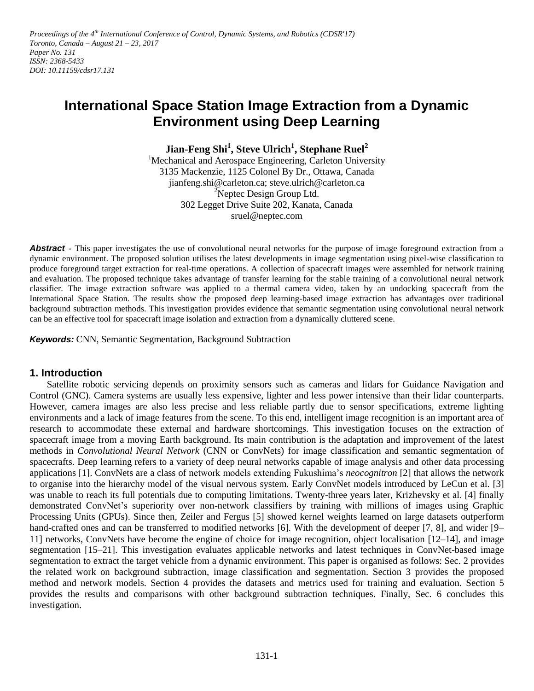Proceedings of the 4<sup>th</sup> International Conference of Control, Dynamic Systems, and Robotics (CDSR'17) *Toronto, Canada – August 21 – 23, 2017 Paper No. 131 ISSN: 2368-5433 DOI: 10.11159/cdsr17.131*

# **International Space Station Image Extraction from a Dynamic Environment using Deep Learning**

**Jian-Feng Shi<sup>1</sup> , Steve Ulrich<sup>1</sup> , Stephane Ruel<sup>2</sup>**

<sup>1</sup>Mechanical and Aerospace Engineering, Carleton University 3135 Mackenzie, 1125 Colonel By Dr., Ottawa, Canada jianfeng.shi@carleton.ca; steve.ulrich@carleton.ca <sup>2</sup>Neptec Design Group Ltd. 302 Legget Drive Suite 202, Kanata, Canada sruel@neptec.com

**Abstract -** This paper investigates the use of convolutional neural networks for the purpose of image foreground extraction from a dynamic environment. The proposed solution utilises the latest developments in image segmentation using pixel-wise classification to produce foreground target extraction for real-time operations. A collection of spacecraft images were assembled for network training and evaluation. The proposed technique takes advantage of transfer learning for the stable training of a convolutional neural network classifier. The image extraction software was applied to a thermal camera video, taken by an undocking spacecraft from the International Space Station. The results show the proposed deep learning-based image extraction has advantages over traditional background subtraction methods. This investigation provides evidence that semantic segmentation using convolutional neural network can be an effective tool for spacecraft image isolation and extraction from a dynamically cluttered scene.

*Keywords:* CNN, Semantic Segmentation, Background Subtraction

# **1. Introduction**

Satellite robotic servicing depends on proximity sensors such as cameras and lidars for Guidance Navigation and Control (GNC). Camera systems are usually less expensive, lighter and less power intensive than their lidar counterparts. However, camera images are also less precise and less reliable partly due to sensor specifications, extreme lighting environments and a lack of image features from the scene. To this end, intelligent image recognition is an important area of research to accommodate these external and hardware shortcomings. This investigation focuses on the extraction of spacecraft image from a moving Earth background. Its main contribution is the adaptation and improvement of the latest methods in *Convolutional Neural Network* (CNN or ConvNets) for image classification and semantic segmentation of spacecrafts. Deep learning refers to a variety of deep neural networks capable of image analysis and other data processing applications [1]. ConvNets are a class of network models extending Fukushima's *neocognitron* [2] that allows the network to organise into the hierarchy model of the visual nervous system. Early ConvNet models introduced by LeCun et al. [3] was unable to reach its full potentials due to computing limitations. Twenty-three years later, Krizhevsky et al. [4] finally demonstrated ConvNet's superiority over non-network classifiers by training with millions of images using Graphic Processing Units (GPUs). Since then, Zeiler and Fergus [5] showed kernel weights learned on large datasets outperform hand-crafted ones and can be transferred to modified networks [6]. With the development of deeper [7, 8], and wider [9– 11] networks, ConvNets have become the engine of choice for image recognition, object localisation [12–14], and image segmentation [15–21]. This investigation evaluates applicable networks and latest techniques in ConvNet-based image segmentation to extract the target vehicle from a dynamic environment. This paper is organised as follows: Sec. 2 provides the related work on background subtraction, image classification and segmentation. Section 3 provides the proposed method and network models. Section 4 provides the datasets and metrics used for training and evaluation. Section 5 provides the results and comparisons with other background subtraction techniques. Finally, Sec. 6 concludes this investigation.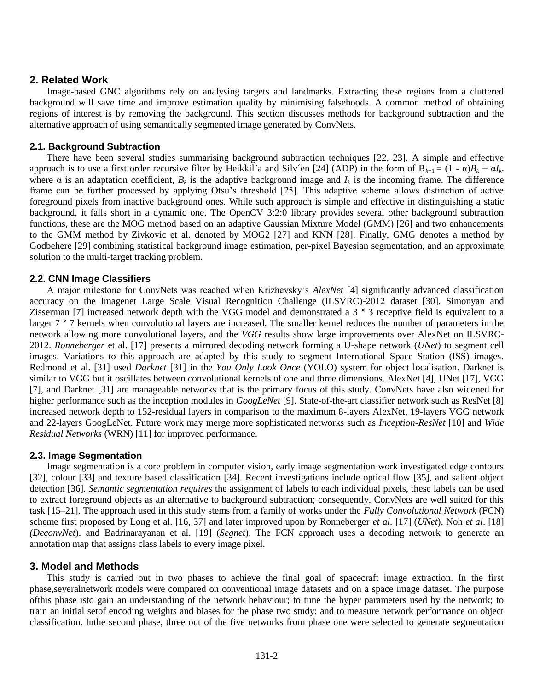## **2. Related Work**

Image-based GNC algorithms rely on analysing targets and landmarks. Extracting these regions from a cluttered background will save time and improve estimation quality by minimising falsehoods. A common method of obtaining regions of interest is by removing the background. This section discusses methods for background subtraction and the alternative approach of using semantically segmented image generated by ConvNets.

#### **2.1. Background Subtraction**

There have been several studies summarising background subtraction techniques [22, 23]. A simple and effective approach is to use a first order recursive filter by Heikkil a and Silv'en [24] (ADP) in the form of  $B_{k+1} = (1 - \alpha)B_k + \alpha I_k$ . where  $\alpha$  is an adaptation coefficient,  $B_k$  is the adaptive background image and  $I_k$  is the incoming frame. The difference frame can be further processed by applying Otsu's threshold [25]. This adaptive scheme allows distinction of active foreground pixels from inactive background ones. While such approach is simple and effective in distinguishing a static background, it falls short in a dynamic one. The OpenCV 3:2:0 library provides several other background subtraction functions, these are the MOG method based on an adaptive Gaussian Mixture Model (GMM) [26] and two enhancements to the GMM method by Zivkovic et al. denoted by MOG2 [27] and KNN [28]. Finally, GMG denotes a method by Godbehere [29] combining statistical background image estimation, per-pixel Bayesian segmentation, and an approximate solution to the multi-target tracking problem.

#### **2.2. CNN Image Classifiers**

A major milestone for ConvNets was reached when Krizhevsky's *AlexNet* [4] significantly advanced classification accuracy on the Imagenet Large Scale Visual Recognition Challenge (ILSVRC)-2012 dataset [30]. Simonyan and Zisserman [7] increased network depth with the VGG model and demonstrated a  $3 \times 3$  receptive field is equivalent to a larger  $7 \times 7$  kernels when convolutional layers are increased. The smaller kernel reduces the number of parameters in the network allowing more convolutional layers, and the *VGG* results show large improvements over AlexNet on ILSVRC-2012. *Ronneberger* et al. [17] presents a mirrored decoding network forming a U-shape network (*UNet*) to segment cell images. Variations to this approach are adapted by this study to segment International Space Station (ISS) images. Redmond et al. [31] used *Darknet* [31] in the *You Only Look Once* (YOLO) system for object localisation. Darknet is similar to VGG but it oscillates between convolutional kernels of one and three dimensions. AlexNet [4], UNet [17], VGG [7], and Darknet [31] are manageable networks that is the primary focus of this study. ConvNets have also widened for higher performance such as the inception modules in *GoogLeNet* [9]. State-of-the-art classifier network such as ResNet [8] increased network depth to 152-residual layers in comparison to the maximum 8-layers AlexNet, 19-layers VGG network and 22-layers GoogLeNet. Future work may merge more sophisticated networks such as *Inception-ResNet* [10] and *Wide Residual Networks* (WRN) [11] for improved performance.

## **2.3. Image Segmentation**

Image segmentation is a core problem in computer vision, early image segmentation work investigated edge contours [32], colour [33] and texture based classification [34]. Recent investigations include optical flow [35], and salient object detection [36]. *Semantic segmentation requires* the assignment of labels to each individual pixels, these labels can be used to extract foreground objects as an alternative to background subtraction; consequently, ConvNets are well suited for this task [15–21]. The approach used in this study stems from a family of works under the *Fully Convolutional Network* (FCN) scheme first proposed by Long et al. [16, 37] and later improved upon by Ronneberger *et al*. [17] (*UNet*), Noh *et al*. [18] *(DeconvNet*), and Badrinarayanan et al. [19] (*Segnet*). The FCN approach uses a decoding network to generate an annotation map that assigns class labels to every image pixel.

## **3. Model and Methods**

This study is carried out in two phases to achieve the final goal of spacecraft image extraction. In the first phase,severalnetwork models were compared on conventional image datasets and on a space image dataset. The purpose ofthis phase isto gain an understanding of the network behaviour; to tune the hyper parameters used by the network; to train an initial setof encoding weights and biases for the phase two study; and to measure network performance on object classification. Inthe second phase, three out of the five networks from phase one were selected to generate segmentation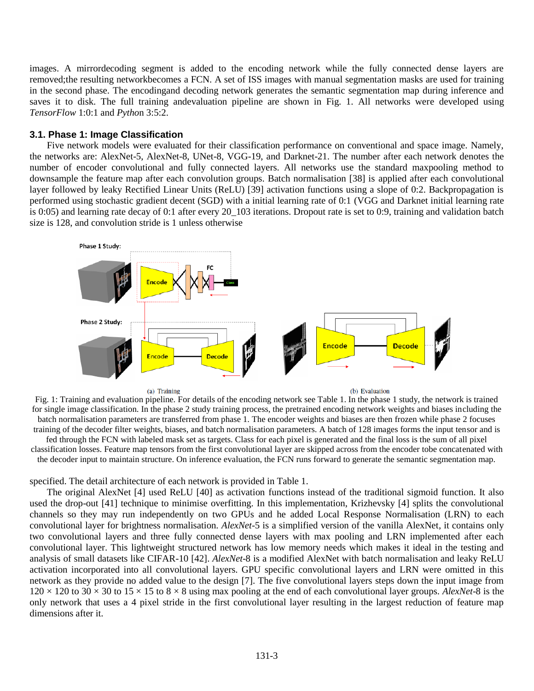images. A mirrordecoding segment is added to the encoding network while the fully connected dense layers are removed;the resulting networkbecomes a FCN. A set of ISS images with manual segmentation masks are used for training in the second phase. The encodingand decoding network generates the semantic segmentation map during inference and saves it to disk. The full training andevaluation pipeline are shown in Fig. 1. All networks were developed using *TensorFlow* 1:0:1 and *Pytho*n 3:5:2.

#### **3.1. Phase 1: Image Classification**

Five network models were evaluated for their classification performance on conventional and space image. Namely, the networks are: AlexNet-5, AlexNet-8, UNet-8, VGG-19, and Darknet-21. The number after each network denotes the number of encoder convolutional and fully connected layers. All networks use the standard maxpooling method to downsample the feature map after each convolution groups. Batch normalisation [38] is applied after each convolutional layer followed by leaky Rectified Linear Units (ReLU) [39] activation functions using a slope of 0:2. Backpropagation is performed using stochastic gradient decent (SGD) with a initial learning rate of 0:1 (VGG and Darknet initial learning rate is 0:05) and learning rate decay of 0:1 after every 20\_103 iterations. Dropout rate is set to 0:9, training and validation batch size is 128, and convolution stride is 1 unless otherwise



(a) Training

(b) Evaluation

Fig. 1: Training and evaluation pipeline. For details of the encoding network see Table 1. In the phase 1 study, the network is trained for single image classification. In the phase 2 study training process, the pretrained encoding network weights and biases including the batch normalisation parameters are transferred from phase 1. The encoder weights and biases are then frozen while phase 2 focuses training of the decoder filter weights, biases, and batch normalisation parameters. A batch of 128 images forms the input tensor and is fed through the FCN with labeled mask set as targets. Class for each pixel is generated and the final loss is the sum of all pixel classification losses. Feature map tensors from the first convolutional layer are skipped across from the encoder tobe concatenated with the decoder input to maintain structure. On inference evaluation, the FCN runs forward to generate the semantic segmentation map.

specified. The detail architecture of each network is provided in Table 1.

The original AlexNet [4] used ReLU [40] as activation functions instead of the traditional sigmoid function. It also used the drop-out [41] technique to minimise overfitting. In this implementation, Krizhevsky [4] splits the convolutional channels so they may run independently on two GPUs and he added Local Response Normalisation (LRN) to each convolutional layer for brightness normalisation. *AlexNet*-5 is a simplified version of the vanilla AlexNet, it contains only two convolutional layers and three fully connected dense layers with max pooling and LRN implemented after each convolutional layer. This lightweight structured network has low memory needs which makes it ideal in the testing and analysis of small datasets like CIFAR-10 [42]. *AlexNet*-8 is a modified AlexNet with batch normalisation and leaky ReLU activation incorporated into all convolutional layers. GPU specific convolutional layers and LRN were omitted in this network as they provide no added value to the design [7]. The five convolutional layers steps down the input image from  $120 \times 120$  to  $30 \times 30$  to  $15 \times 15$  to  $8 \times 8$  using max pooling at the end of each convolutional layer groups. *AlexNet*-8 is the only network that uses a 4 pixel stride in the first convolutional layer resulting in the largest reduction of feature map dimensions after it.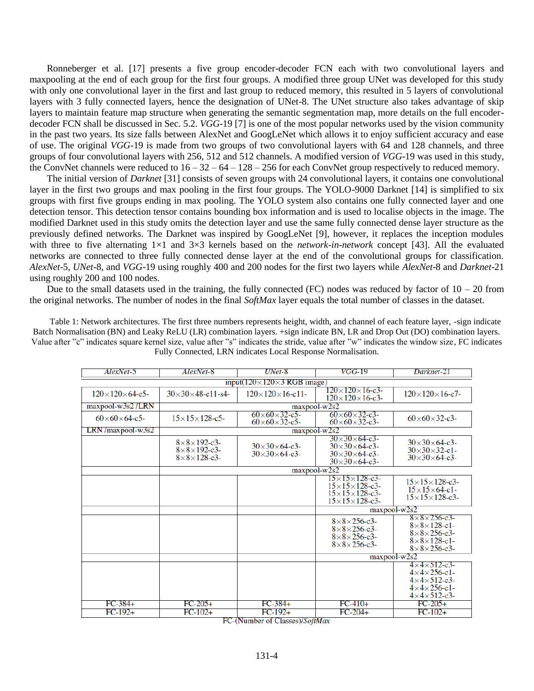Ronneberger et al. [17] presents a five group encoder-decoder FCN each with two convolutional layers and maxpooling at the end of each group for the first four groups. A modified three group UNet was developed for this study with only one convolutional layer in the first and last group to reduced memory, this resulted in 5 layers of convolutional layers with 3 fully connected layers, hence the designation of UNet-8. The UNet structure also takes advantage of skip layers to maintain feature map structure when generating the semantic segmentation map, more details on the full encoderdecoder FCN shall be discussed in Sec. 5.2. *VGG*-19 [7] is one of the most popular networks used by the vision community in the past two years. Its size falls between AlexNet and GoogLeNet which allows it to enjoy sufficient accuracy and ease of use. The original *VGG*-19 is made from two groups of two convolutional layers with 64 and 128 channels, and three groups of four convolutional layers with 256, 512 and 512 channels. A modified version of *VGG*-19 was used in this study, the ConvNet channels were reduced to  $16 - 32 - 64 - 128 - 256$  for each ConvNet group respectively to reduced memory.

The initial version of *Darknet* [31] consists of seven groups with 24 convolutional layers, it contains one convolutional layer in the first two groups and max pooling in the first four groups. The YOLO-9000 Darknet [14] is simplified to six groups with first five groups ending in max pooling. The YOLO system also contains one fully connected layer and one detection tensor. This detection tensor contains bounding box information and is used to localise objects in the image. The modified Darknet used in this study omits the detection layer and use the same fully connected dense layer structure as the previously defined networks. The Darknet was inspired by GoogLeNet [9], however, it replaces the inception modules with three to five alternating 1×1 and 3×3 kernels based on the *network-in-network* concept [43]. All the evaluated networks are connected to three fully connected dense layer at the end of the convolutional groups for classification. *AlexNet*-5, *UNet-*8, and *VGG*-19 using roughly 400 and 200 nodes for the first two layers while *AlexNet*-8 and *Darknet*-21 using roughly 200 and 100 nodes.

Due to the small datasets used in the training, the fully connected (FC) nodes was reduced by factor of  $10 - 20$  from the original networks. The number of nodes in the final *SoftMax* layer equals the total number of classes in the dataset.

Table 1: Network architectures. The first three numbers represents height, width, and channel of each feature layer, -sign indicate Batch Normalisation (BN) and Leaky ReLU (LR) combination layers. +sign indicate BN, LR and Drop Out (DO) combination layers. Value after "c" indicates square kernel size, value after "s" indicates the stride, value after "w" indicates the window size, FC indicates Fully Connected, LRN indicates Local Response Normalisation.

| AlexNet-5                                   | AlexNet-8                                                                                    | $UNet-8$                                                                                                                 | <i>VGG-</i> 19                                                                                                                       | Darknet-21                                                                                                                                                   |  |  |  |  |
|---------------------------------------------|----------------------------------------------------------------------------------------------|--------------------------------------------------------------------------------------------------------------------------|--------------------------------------------------------------------------------------------------------------------------------------|--------------------------------------------------------------------------------------------------------------------------------------------------------------|--|--|--|--|
| input( $120 \times 120 \times 3$ RGB image) |                                                                                              |                                                                                                                          |                                                                                                                                      |                                                                                                                                                              |  |  |  |  |
| $120 \times 120 \times 64 - c5$             | $30 \times 30 \times 48$ -c11-s4-                                                            | $120\times120\times16$ -c3-<br>$120 \times 120 \times 16$ -c11-<br>$120\times120\times16$ -c3-                           |                                                                                                                                      | $120 \times 120 \times 16$ -c7-                                                                                                                              |  |  |  |  |
| $maxpool-w3s2/LRN$                          | maxpool-w2s2                                                                                 |                                                                                                                          |                                                                                                                                      |                                                                                                                                                              |  |  |  |  |
| $60 \times 60 \times 64 - c5$               | $15 \times 15 \times 128 - c5$                                                               | $60\times 60\times 32$ -c5-<br>$60\times 60\times 32$ -c3-<br>$60\times 60\times 32 - c5$<br>$60\times 60\times 32$ -c3- |                                                                                                                                      | $60\times 60\times 32$ -c3-                                                                                                                                  |  |  |  |  |
| $LRN$ /maxpool-w3s2                         | maxpool-w2s2                                                                                 |                                                                                                                          |                                                                                                                                      |                                                                                                                                                              |  |  |  |  |
|                                             | $8 \times 8 \times 192 - c3$<br>$8 \times 8 \times 192 - c3$<br>$8 \times 8 \times 128 - c3$ | $30\times30\times64$ -c3-<br>$30 \times 30 \times 64 - c3$                                                               | $30\times30\times64$ -c3-<br>$30\times30\times64$ -c3-<br>$30\times30\times64$ -c3-<br>$30 \times 30 \times 64 - c3$                 | $30\times30\times64$ -c3-<br>$30 \times 30 \times 32$ -c1-<br>$30 \times 30 \times 64 - c3$                                                                  |  |  |  |  |
|                                             | $maxpool-w2s2$                                                                               |                                                                                                                          |                                                                                                                                      |                                                                                                                                                              |  |  |  |  |
|                                             |                                                                                              |                                                                                                                          | $15 \times 15 \times 128$ -c3-<br>$15 \times 15 \times 128$ -c3-<br>$15 \times 15 \times 128$ -c3-<br>$15 \times 15 \times 128$ -c3- | $15 \times 15 \times 128$ -c3-<br>$15 \times 15 \times 64$ -c1-<br>$15 \times 15 \times 128$ -c3-                                                            |  |  |  |  |
|                                             |                                                                                              |                                                                                                                          | maxpool-w2s2                                                                                                                         |                                                                                                                                                              |  |  |  |  |
|                                             |                                                                                              |                                                                                                                          | $8\times8\times256$ -c3-<br>$8\times8\times256$ -c3-<br>$8\times8\times256$ -c3-<br>$8\times8\times256$ -c3-                         | $8\times8\times256$ -c3-<br>$8 \times 8 \times 128 - c1$<br>$8\times8\times256$ -c3-<br>$8 \times 8 \times 128 - c1$<br>$8\times8\times256$ -c3-             |  |  |  |  |
|                                             |                                                                                              |                                                                                                                          | maxpool-w2s2                                                                                                                         |                                                                                                                                                              |  |  |  |  |
|                                             |                                                                                              |                                                                                                                          |                                                                                                                                      | $4 \times 4 \times 512 - c3$<br>$4 \times 4 \times 256 - c1$<br>$4 \times 4 \times 512 - c3$<br>$4 \times 4 \times 256 - c1$<br>$4 \times 4 \times 512 - c3$ |  |  |  |  |
| $FC-384+$                                   | $FC-205+$                                                                                    | $FC-384+$                                                                                                                | $FC-410+$                                                                                                                            | $FC-205+$                                                                                                                                                    |  |  |  |  |
| $FC-192+$                                   | $FC-102+$                                                                                    | $FC-192+$                                                                                                                | $FC-204+$                                                                                                                            | $FC-102+$                                                                                                                                                    |  |  |  |  |

FC-(Number of Classes)/SoftMax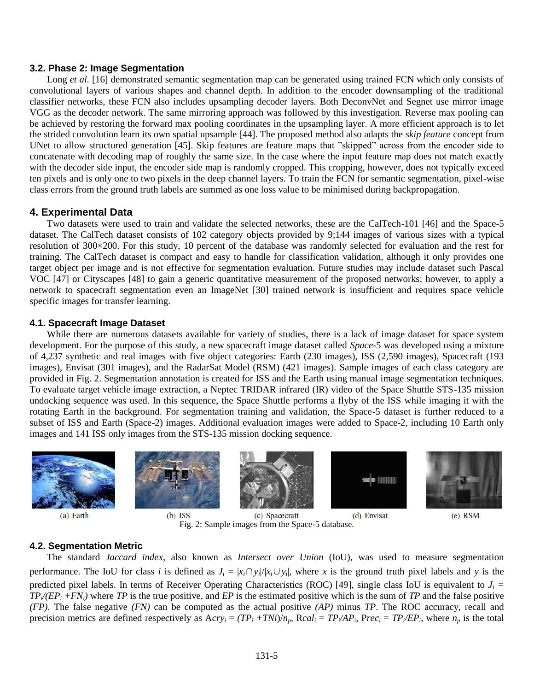## **3.2. Phase 2: Image Segmentation**

Long *et al.* [16] demonstrated semantic segmentation map can be generated using trained FCN which only consists of convolutional layers of various shapes and channel depth. In addition to the encoder downsampling of the traditional classifier networks, these FCN also includes upsampling decoder layers. Both DeconvNet and Segnet use mirror image VGG as the decoder network. The same mirroring approach was followed by this investigation. Reverse max pooling can be achieved by restoring the forward max pooling coordinates in the upsampling layer. A more efficient approach is to let the strided convolution learn its own spatial upsample [44]. The proposed method also adapts the *skip feature* concept from UNet to allow structured generation [45]. Skip features are feature maps that "skipped" across from the encoder side to concatenate with decoding map of roughly the same size. In the case where the input feature map does not match exactly with the decoder side input, the encoder side map is randomly cropped. This cropping, however, does not typically exceed ten pixels and is only one to two pixels in the deep channel layers. To train the FCN for semantic segmentation, pixel-wise class errors from the ground truth labels are summed as one loss value to be minimised during backpropagation.

#### **4. Experimental Data**

Two datasets were used to train and validate the selected networks, these are the CalTech-101 [46] and the Space-5 dataset. The CalTech dataset consists of 102 category objects provided by 9;144 images of various sizes with a typical resolution of 300×200. For this study, 10 percent of the database was randomly selected for evaluation and the rest for training. The CalTech dataset is compact and easy to handle for classification validation, although it only provides one target object per image and is not effective for segmentation evaluation. Future studies may include dataset such Pascal VOC [47] or Cityscapes [48] to gain a generic quantitative measurement of the proposed networks; however, to apply a network to spacecraft segmentation even an ImageNet [30] trained network is insufficient and requires space vehicle specific images for transfer learning.

#### **4.1. Spacecraft Image Dataset**

While there are numerous datasets available for variety of studies, there is a lack of image dataset for space system development. For the purpose of this study, a new spacecraft image dataset called *Space*-5 was developed using a mixture of 4,237 synthetic and real images with five object categories: Earth (230 images), ISS (2,590 images), Spacecraft (193 images), Envisat (301 images), and the RadarSat Model (RSM) (421 images). Sample images of each class category are provided in Fig. 2. Segmentation annotation is created for ISS and the Earth using manual image segmentation techniques. To evaluate target vehicle image extraction, a Neptec TRIDAR infrared (IR) video of the Space Shuttle STS-135 mission undocking sequence was used. In this sequence, the Space Shuttle performs a flyby of the ISS while imaging it with the rotating Earth in the background. For segmentation training and validation, the Space-5 dataset is further reduced to a subset of ISS and Earth (Space-2) images. Additional evaluation images were added to Space-2, including 10 Earth only images and 141 ISS only images from the STS-135 mission docking sequence.



(a) Earth









 $(b)$  ISS (c) Spacecraft Fig. 2: Sample images from the Space-5 database.

(d) Envisat

 $(e)$  RSM

#### **4.2. Segmentation Metric**

The standard *Jaccard index*, also known as *Intersect over Union* (IoU), was used to measure segmentation performance. The IoU for class *i* is defined as  $J_i = |x_i \cap y_i|/|x_i \cup y_i|$ , where *x* is the ground truth pixel labels and *y* is the predicted pixel labels. In terms of Receiver Operating Characteristics (ROC) [49], single class IoU is equivalent to  $J_i$  =  $TP$ <sup>*/*</sup>( $EP$ <sub>*i*</sub> +*FN*<sub>*i*</sub>)</sub> where *TP* is the true positive, and *EP* is the estimated positive which is the sum of *TP* and the false positive *(FP)*. The false negative *(FN)* can be computed as the actual positive *(AP)* minus *TP*. The ROC accuracy, recall and precision metrics are defined respectively as  $Acry_i = (TP_i + TNi)/n_p$ ,  $Rcal_i = TP/AP_i$ ,  $Prec_i = TP/EP_i$ , where  $n_p$  is the total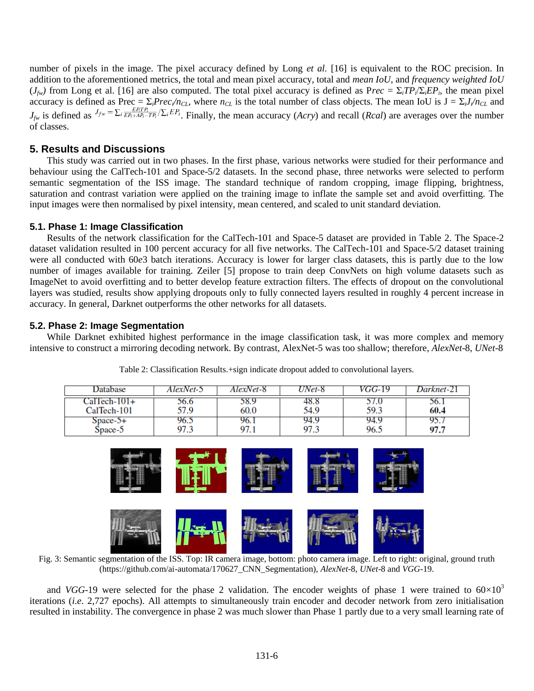number of pixels in the image. The pixel accuracy defined by Long *et al.* [16] is equivalent to the ROC precision. In addition to the aforementioned metrics, the total and mean pixel accuracy, total and *mean IoU*, and *frequency weighted IoU*  $(J_{f*w*})$  from Long et al. [16] are also computed. The total pixel accuracy is defined as Prec = Σ<sub>*i</sub>TP<sub><i>i*</sub>/Σ<sub>*iEP<sub>i</sub>*</sub>, the mean pixel</sub> accuracy is defined as Prec =  $\Sigma_i$ Prec<sub>i</sub>/n<sub>CL</sub>, where n<sub>CL</sub> is the total number of class objects. The mean IoU is  $J = \Sigma_i J / n_{CL}$  and  $J_{fw}$  is defined as  $J_{fw} = \sum_i \frac{F_i}{EP_i + AP_i - TP_i}/\sum_i EF_i$ . Finally, the mean accuracy (*Acry*) and recall (*Rcal*) are averages over the number of classes.

# **5. Results and Discussions**

This study was carried out in two phases. In the first phase, various networks were studied for their performance and behaviour using the CalTech-101 and Space-5/2 datasets. In the second phase, three networks were selected to perform semantic segmentation of the ISS image. The standard technique of random cropping, image flipping, brightness, saturation and contrast variation were applied on the training image to inflate the sample set and avoid overfitting. The input images were then normalised by pixel intensity, mean centered, and scaled to unit standard deviation.

#### **5.1. Phase 1: Image Classification**

Results of the network classification for the CalTech-101 and Space-5 dataset are provided in Table 2. The Space-2 dataset validation resulted in 100 percent accuracy for all five networks. The CalTech-101 and Space-5/2 dataset training were all conducted with 60*e*3 batch iterations. Accuracy is lower for larger class datasets, this is partly due to the low number of images available for training. Zeiler [5] propose to train deep ConvNets on high volume datasets such as ImageNet to avoid overfitting and to better develop feature extraction filters. The effects of dropout on the convolutional layers was studied, results show applying dropouts only to fully connected layers resulted in roughly 4 percent increase in accuracy. In general, Darknet outperforms the other networks for all datasets.

## **5.2. Phase 2: Image Segmentation**

While Darknet exhibited highest performance in the image classification task, it was more complex and memory intensive to construct a mirroring decoding network. By contrast, AlexNet-5 was too shallow; therefore, *AlexNet*-8*, UNet*-8

| <b>Jatabase</b> | AlexNet-5 | AlexNet-8 | $\eta$ Net-8 | VGG-19 | Darknet-21 |
|-----------------|-----------|-----------|--------------|--------|------------|
| $CalTech-101+$  | 0.6       | 98.Y      | 48.8         | 59.3   | 30.1       |
| CalTech-101     | 57.9      | 60.0      | 54.9         |        | 60.4       |
| $Space-5+$      | 96.3      | 96.1      | 94.9         | 94.9   | 95.,       |
| $Space-5$       | 97.3      | 97.1      | 97.3         | 96.5   | 97.7       |

Table 2: Classification Results.+sign indicate dropout added to convolutional layers.



Fig. 3: Semantic segmentation of the ISS. Top: IR camera image, bottom: photo camera image. Left to right: original, ground truth (https://github.com/ai-automata/170627\_CNN\_Segmentation), *AlexNet-*8, *UNet*-8 and *VGG*-19.

and *VGG*-19 were selected for the phase 2 validation. The encoder weights of phase 1 were trained to  $60\times10^3$ iterations (*i.e*. 2,727 epochs). All attempts to simultaneously train encoder and decoder network from zero initialisation resulted in instability. The convergence in phase 2 was much slower than Phase 1 partly due to a very small learning rate of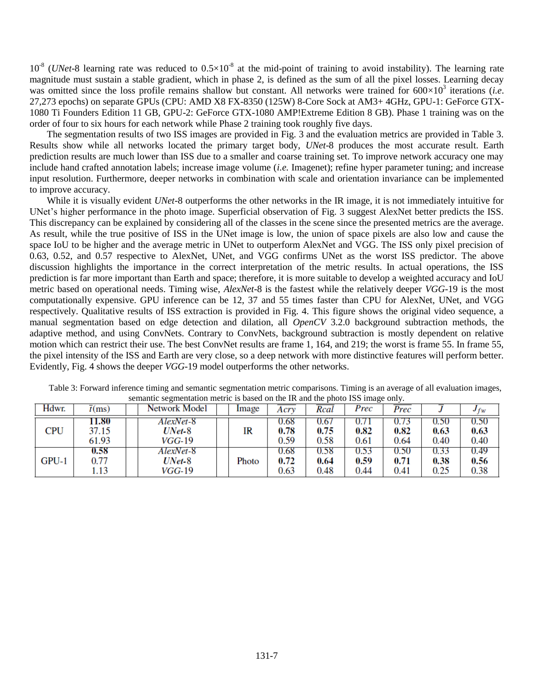$10^{-8}$  (*UNet*-8 learning rate was reduced to  $0.5 \times 10^{-8}$  at the mid-point of training to avoid instability). The learning rate magnitude must sustain a stable gradient, which in phase 2, is defined as the sum of all the pixel losses. Learning decay was omitted since the loss profile remains shallow but constant. All networks were trained for  $600\times10^3$  iterations (*i.e.* 27,273 epochs) on separate GPUs (CPU: AMD X8 FX-8350 (125W) 8-Core Sock at AM3+ 4GHz, GPU-1: GeForce GTX-1080 Ti Founders Edition 11 GB, GPU-2: GeForce GTX-1080 AMP!Extreme Edition 8 GB). Phase 1 training was on the order of four to six hours for each network while Phase 2 training took roughly five days.

The segmentation results of two ISS images are provided in Fig. 3 and the evaluation metrics are provided in Table 3. Results show while all networks located the primary target body, *UNet*-8 produces the most accurate result. Earth prediction results are much lower than ISS due to a smaller and coarse training set. To improve network accuracy one may include hand crafted annotation labels; increase image volume (*i.e.* Imagenet); refine hyper parameter tuning; and increase input resolution. Furthermore, deeper networks in combination with scale and orientation invariance can be implemented to improve accuracy.

While it is visually evident *UNet-*8 outperforms the other networks in the IR image, it is not immediately intuitive for UNet's higher performance in the photo image. Superficial observation of Fig. 3 suggest AlexNet better predicts the ISS. This discrepancy can be explained by considering all of the classes in the scene since the presented metrics are the average. As result, while the true positive of ISS in the UNet image is low, the union of space pixels are also low and cause the space IoU to be higher and the average metric in UNet to outperform AlexNet and VGG. The ISS only pixel precision of 0.63, 0.52, and 0.57 respective to AlexNet, UNet, and VGG confirms UNet as the worst ISS predictor. The above discussion highlights the importance in the correct interpretation of the metric results. In actual operations, the ISS prediction is far more important than Earth and space; therefore, it is more suitable to develop a weighted accuracy and IoU metric based on operational needs. Timing wise, *AlexNet*-8 is the fastest while the relatively deeper *VGG*-19 is the most computationally expensive. GPU inference can be 12, 37 and 55 times faster than CPU for AlexNet, UNet, and VGG respectively. Qualitative results of ISS extraction is provided in Fig. 4. This figure shows the original video sequence, a manual segmentation based on edge detection and dilation, all *OpenCV* 3.2.0 background subtraction methods, the adaptive method, and using ConvNets. Contrary to ConvNets, background subtraction is mostly dependent on relative motion which can restrict their use. The best ConvNet results are frame 1, 164, and 219; the worst is frame 55. In frame 55, the pixel intensity of the ISS and Earth are very close, so a deep network with more distinctive features will perform better. Evidently, Fig. 4 shows the deeper *VGG*-19 model outperforms the other networks.

| Hdwr.      | $\overline{t}$ (ms)     | Network Model                          | Image | Acry                 | Rcal                 | Prec                 | Prec                 |                      | $Jf_W$               |
|------------|-------------------------|----------------------------------------|-------|----------------------|----------------------|----------------------|----------------------|----------------------|----------------------|
| <b>CPU</b> | 11.80<br>37.15<br>61.93 | AlexNet-8<br>UNet-8<br>$VGG-19$        | IR    | 0.68<br>0.78<br>0.59 | 0.67<br>0.75<br>0.58 | 0.82<br>0.61         | 0.82<br>0.64         | 0.SU<br>0.63<br>0.40 | 0.50<br>0.63<br>0.40 |
| $GPU-1$    | 0.58<br>0.77<br>1.13    | AlexNet-8<br>$UNet-8$<br><i>VGG-19</i> | Photo | 0.68<br>0.72<br>0.63 | 0.58<br>0.64<br>0.48 | 0.53<br>0.59<br>0.44 | 0.50<br>0.71<br>0.41 | 0.33<br>0.38<br>0.25 | 0.49<br>0.56<br>0.38 |

Table 3: Forward inference timing and semantic segmentation metric comparisons. Timing is an average of all evaluation images, semantic segmentation metric is based on the IR and the photo ISS image only.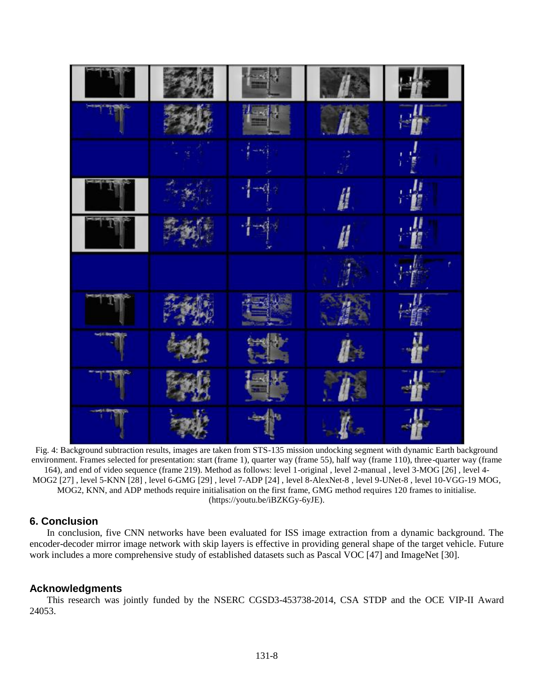

Fig. 4: Background subtraction results, images are taken from STS-135 mission undocking segment with dynamic Earth background environment. Frames selected for presentation: start (frame 1), quarter way (frame 55), half way (frame 110), three-quarter way (frame 164), and end of video sequence (frame 219). Method as follows: level 1-original , level 2-manual , level 3-MOG [26] , level 4- MOG2 [27] , level 5-KNN [28] , level 6-GMG [29] , level 7-ADP [24] , level 8-AlexNet-8 , level 9-UNet-8 , level 10-VGG-19 MOG, MOG2, KNN, and ADP methods require initialisation on the first frame, GMG method requires 120 frames to initialise. [\(https://youtu.be/iBZKGy-6yJE\)](https://youtu.be/iBZKGy-6yJE).

# **6. Conclusion**

In conclusion, five CNN networks have been evaluated for ISS image extraction from a dynamic background. The encoder-decoder mirror image network with skip layers is effective in providing general shape of the target vehicle. Future work includes a more comprehensive study of established datasets such as Pascal VOC [47] and ImageNet [30].

# **Acknowledgments**

This research was jointly funded by the NSERC CGSD3-453738-2014, CSA STDP and the OCE VIP-II Award 24053.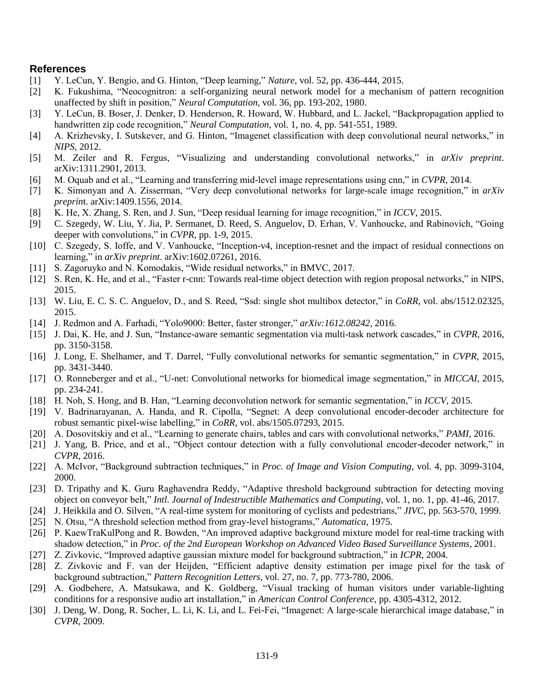# **References**

- [1] Y. LeCun, Y. Bengio, and G. Hinton, "Deep learning," *Nature*, vol. 52, pp. 436-444, 2015.
- [2] K. Fukushima, "Neocognitron: a self-organizing neural network model for a mechanism of pattern recognition unaffected by shift in position," *Neural Computation*, vol. 36, pp. 193-202, 1980.
- [3] Y. LeCun, B. Boser, J. Denker, D. Henderson, R. Howard, W. Hubbard, and L. Jackel, "Backpropagation applied to handwritten zip code recognition," *Neural Computation*, vol. 1, no. 4, pp. 541-551, 1989.
- [4] A. Krizhevsky, I. Sutskever, and G. Hinton, "Imagenet classification with deep convolutional neural networks," in *NIPS*, 2012.
- [5] M. Zeiler and R. Fergus, "Visualizing and understanding convolutional networks," in *arXiv preprint*. arXiv:1311.2901, 2013.
- [6] M. Oquab and et al., "Learning and transferring mid-level image representations using cnn," in *CVPR*, 2014.
- [7] K. Simonyan and A. Zisserman, "Very deep convolutional networks for large-scale image recognition," in *arXiv preprin*t. arXiv:1409.1556, 2014.
- [8] K. He, X. Zhang, S. Ren, and J. Sun, "Deep residual learning for image recognition," in *ICCV*, 2015.
- [9] C. Szegedy, W. Liu, Y. Jia, P. Sermanet, D. Reed, S. Anguelov, D. Erhan, V. Vanhoucke, and Rabinovich, "Going deeper with convolutions," in *CVPR*, pp. 1-9, 2015.
- [10] C. Szegedy, S. Ioffe, and V. Vanhoucke, "Inception-v4, inception-resnet and the impact of residual connections on learning," in *arXiv preprint*. arXiv:1602.07261, 2016.
- [11] S. Zagoruyko and N. Komodakis, "Wide residual networks," in BMVC, 2017.
- [12] S. Ren, K. He, and et al., "Faster r-cnn: Towards real-time object detection with region proposal networks," in NIPS, 2015.
- [13] W. Liu, E. C. S. C. Anguelov, D., and S. Reed, "Ssd: single shot multibox detector," in *CoRR*, vol. abs/1512.02325, 2015.
- [14] J. Redmon and A. Farhadi, "Yolo9000: Better, faster stronger," *arXiv:1612.08242*, 2016.
- [15] J. Dai, K. He, and J. Sun, "Instance-aware semantic segmentation via multi-task network cascades," in *CVPR*, 2016, pp. 3150-3158.
- [16] J. Long, E. Shelhamer, and T. Darrel, "Fully convolutional networks for semantic segmentation," in *CVPR*, 2015, pp. 3431-3440.
- [17] O. Ronneberger and et al., "U-net: Convolutional networks for biomedical image segmentation," in *MICCAI*, 2015, pp. 234-241.
- [18] H. Noh, S. Hong, and B. Han, "Learning deconvolution network for semantic segmentation," in *ICCV*, 2015.
- [19] V. Badrinarayanan, A. Handa, and R. Cipolla, "Segnet: A deep convolutional encoder-decoder architecture for robust semantic pixel-wise labelling," in *CoRR*, vol. abs/1505.07293, 2015.
- [20] A. Dosovitskiy and et al., "Learning to generate chairs, tables and cars with convolutional networks," *PAMI*, 2016.
- [21] J. Yang, B. Price, and et al., "Object contour detection with a fully convolutional encoder-decoder network," in *CVPR*, 2016.
- [22] A. McIvor, "Background subtraction techniques," in *Proc. of Image and Vision Computing*, vol. 4, pp. 3099-3104, 2000.
- [23] D. Tripathy and K. Guru Raghavendra Reddy, "Adaptive threshold background subtraction for detecting moving object on conveyor belt," *Intl. Journal of Indestructible Mathematics and Computing*, vol. 1, no. 1, pp. 41-46, 2017.
- [24] J. Heikkila and O. Silven, "A real-time system for monitoring of cyclists and pedestrians," *JIVC,* pp. 563-570, 1999.
- [25] N. Otsu, "A threshold selection method from gray-level histograms," *Automatica*, 1975.
- [26] P. KaewTraKulPong and R. Bowden, "An improved adaptive background mixture model for real-time tracking with shadow detection," in *Proc. of the 2nd European Workshop on Advanced Video Based Surveillance Systems*, 2001.
- [27] Z. Zivkovic, "Improved adaptive gaussian mixture model for background subtraction," in *ICPR*, 2004.
- [28] Z. Zivkovic and F. van der Heijden, "Efficient adaptive density estimation per image pixel for the task of background subtraction," *Pattern Recognition Letters*, vol. 27, no. 7, pp. 773-780, 2006.
- [29] A. Godbehere, A. Matsukawa, and K. Goldberg, "Visual tracking of human visitors under variable-lighting conditions for a responsive audio art installation," in *American Control Conference*, pp. 4305-4312, 2012.
- [30] J. Deng, W. Dong, R. Socher, L. Li, K. Li, and L. Fei-Fei, "Imagenet: A large-scale hierarchical image database," in *CVPR*, 2009.